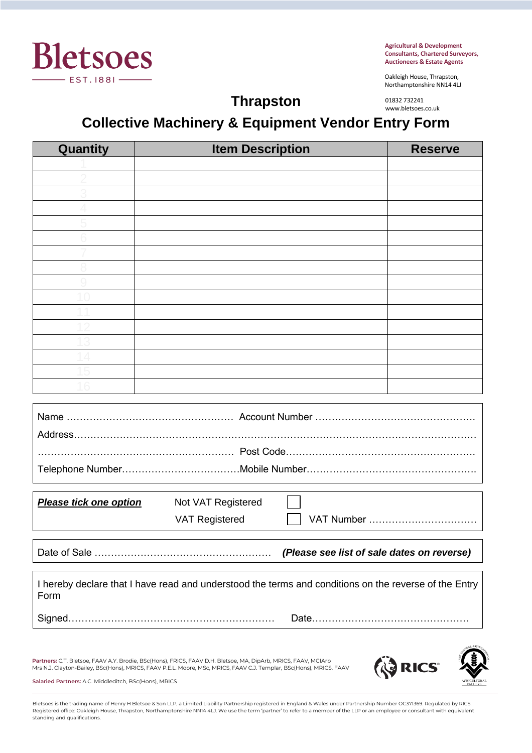

**Agricultural & Development Consultants, Chartered Surveyors, Auctioneers & Estate Agents**

Oakleigh House, Thrapston, Northamptonshire NN14 4LJ

01832 732241 www.bletsoes.co.uk

# **Thrapston Collective Machinery & Equipment Vendor Entry Form**

| Quantity                                                                                                      | <b>Item Description</b> | <b>Reserve</b> |
|---------------------------------------------------------------------------------------------------------------|-------------------------|----------------|
|                                                                                                               |                         |                |
|                                                                                                               |                         |                |
|                                                                                                               |                         |                |
|                                                                                                               |                         |                |
|                                                                                                               |                         |                |
|                                                                                                               |                         |                |
|                                                                                                               |                         |                |
|                                                                                                               |                         |                |
|                                                                                                               |                         |                |
|                                                                                                               |                         |                |
|                                                                                                               |                         |                |
|                                                                                                               |                         |                |
|                                                                                                               |                         |                |
|                                                                                                               |                         |                |
|                                                                                                               |                         |                |
|                                                                                                               |                         |                |
|                                                                                                               |                         |                |
|                                                                                                               |                         |                |
|                                                                                                               |                         |                |
|                                                                                                               |                         |                |
|                                                                                                               |                         |                |
|                                                                                                               |                         |                |
|                                                                                                               |                         |                |
| Please tick one option                                                                                        | Not VAT Registered      |                |
|                                                                                                               | <b>VAT Registered</b>   |                |
| (Please see list of sale dates on reverse)                                                                    |                         |                |
|                                                                                                               |                         |                |
| I hereby declare that I have read and understood the terms and conditions on the reverse of the Entry<br>Form |                         |                |
|                                                                                                               |                         |                |
|                                                                                                               |                         |                |

**Partners:** C.T. Bletsoe, FAAV A.Y. Brodie, BSc(Hons), FRICS, FAAV D.H. Bletsoe, MA, DipArb, MRICS, FAAV, MCIArb Mrs N.J. Clayton-Bailey, BSc(Hons), MRICS, FAAV P.E.L. Moore, MSc, MRICS, FAAV C.J. Templar, BSc(Hons), MRICS, FAAV



**Salaried Partners:** A.C. Middleditch, BSc(Hons), MRICS

Bletsoes is the trading name of Henry H Bletsoe & Son LLP, a Limited Liability Partnership registered in England & Wales under Partnership Number OC371369. Regulated by RICS. Registered office: Oakleigh House, Thrapston, Northamptonshire NN14 4LJ. We use the term 'partner' to refer to a member of the LLP or an employee or consultant with equivalent standing and qualifications.